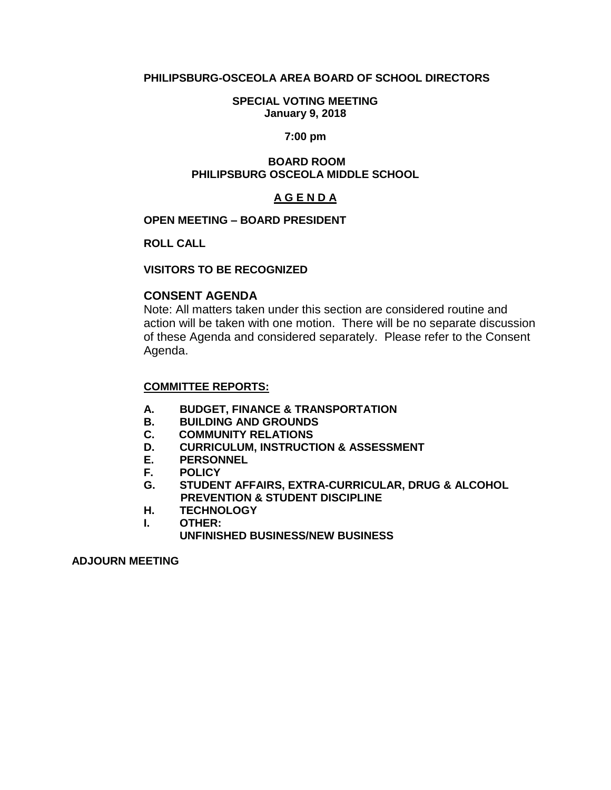## **PHILIPSBURG-OSCEOLA AREA BOARD OF SCHOOL DIRECTORS**

## **SPECIAL VOTING MEETING January 9, 2018**

## **7:00 pm**

## **BOARD ROOM PHILIPSBURG OSCEOLA MIDDLE SCHOOL**

# **A G E N D A**

## **OPEN MEETING – BOARD PRESIDENT**

**ROLL CALL**

## **VISITORS TO BE RECOGNIZED**

## **CONSENT AGENDA**

Note: All matters taken under this section are considered routine and action will be taken with one motion. There will be no separate discussion of these Agenda and considered separately. Please refer to the Consent Agenda.

## **COMMITTEE REPORTS:**

- **A. BUDGET, FINANCE & TRANSPORTATION**
- **B. BUILDING AND GROUNDS**
- **C. COMMUNITY RELATIONS**
- **D. CURRICULUM, INSTRUCTION & ASSESSMENT**
- **E. PERSONNEL**
- **F. POLICY**
- **G. STUDENT AFFAIRS, EXTRA-CURRICULAR, DRUG & ALCOHOL PREVENTION & STUDENT DISCIPLINE**
- **H. TECHNOLOGY**
- **I. OTHER:**

**UNFINISHED BUSINESS/NEW BUSINESS**

### **ADJOURN MEETING**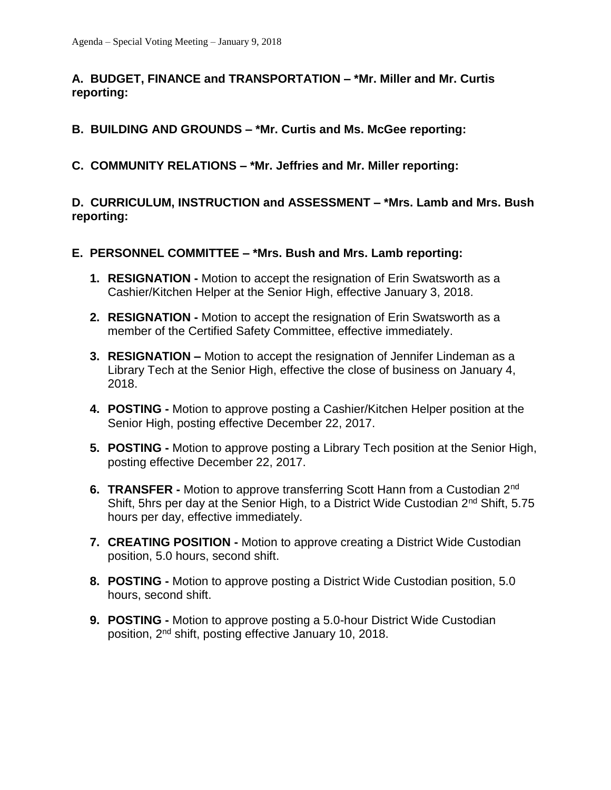# **A. BUDGET, FINANCE and TRANSPORTATION – \*Mr. Miller and Mr. Curtis reporting:**

- **B. BUILDING AND GROUNDS – \*Mr. Curtis and Ms. McGee reporting:**
- **C. COMMUNITY RELATIONS – \*Mr. Jeffries and Mr. Miller reporting:**

**D. CURRICULUM, INSTRUCTION and ASSESSMENT – \*Mrs. Lamb and Mrs. Bush reporting:**

- **E. PERSONNEL COMMITTEE – \*Mrs. Bush and Mrs. Lamb reporting:**
	- **1. RESIGNATION -** Motion to accept the resignation of Erin Swatsworth as a Cashier/Kitchen Helper at the Senior High, effective January 3, 2018.
	- **2. RESIGNATION -** Motion to accept the resignation of Erin Swatsworth as a member of the Certified Safety Committee, effective immediately.
	- **3. RESIGNATION –** Motion to accept the resignation of Jennifer Lindeman as a Library Tech at the Senior High, effective the close of business on January 4, 2018.
	- **4. POSTING -** Motion to approve posting a Cashier/Kitchen Helper position at the Senior High, posting effective December 22, 2017.
	- **5. POSTING -** Motion to approve posting a Library Tech position at the Senior High, posting effective December 22, 2017.
	- **6. TRANSFER -** Motion to approve transferring Scott Hann from a Custodian 2nd Shift, 5hrs per day at the Senior High, to a District Wide Custodian 2<sup>nd</sup> Shift, 5.75 hours per day, effective immediately.
	- **7. CREATING POSITION -** Motion to approve creating a District Wide Custodian position, 5.0 hours, second shift.
	- **8. POSTING -** Motion to approve posting a District Wide Custodian position, 5.0 hours, second shift.
	- **9. POSTING -** Motion to approve posting a 5.0-hour District Wide Custodian position, 2nd shift, posting effective January 10, 2018.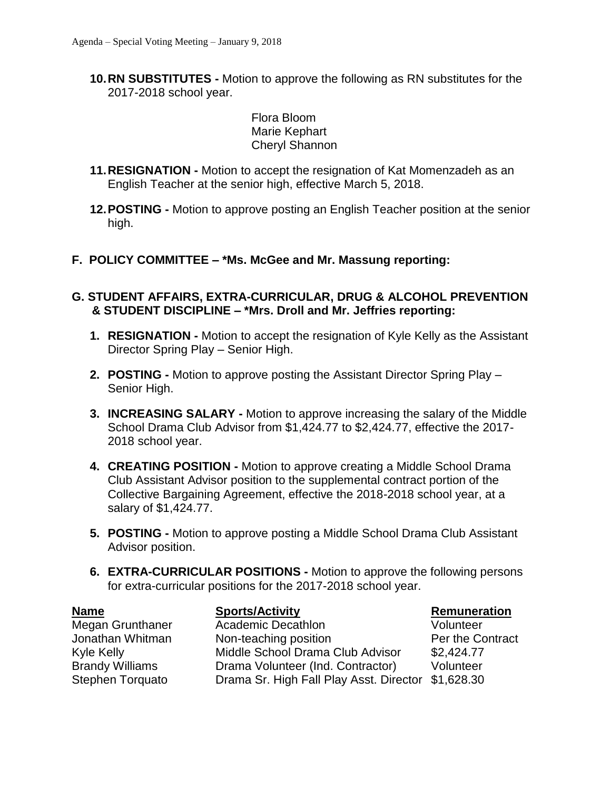**10.RN SUBSTITUTES -** Motion to approve the following as RN substitutes for the 2017-2018 school year.

> Flora Bloom Marie Kephart Cheryl Shannon

- **11.RESIGNATION -** Motion to accept the resignation of Kat Momenzadeh as an English Teacher at the senior high, effective March 5, 2018.
- **12.POSTING -** Motion to approve posting an English Teacher position at the senior high.
- **F. POLICY COMMITTEE – \*Ms. McGee and Mr. Massung reporting:**

# **G. STUDENT AFFAIRS, EXTRA-CURRICULAR, DRUG & ALCOHOL PREVENTION & STUDENT DISCIPLINE – \*Mrs. Droll and Mr. Jeffries reporting:**

- **1. RESIGNATION -** Motion to accept the resignation of Kyle Kelly as the Assistant Director Spring Play – Senior High.
- **2. POSTING -** Motion to approve posting the Assistant Director Spring Play Senior High.
- **3. INCREASING SALARY -** Motion to approve increasing the salary of the Middle School Drama Club Advisor from \$1,424.77 to \$2,424.77, effective the 2017- 2018 school year.
- **4. CREATING POSITION -** Motion to approve creating a Middle School Drama Club Assistant Advisor position to the supplemental contract portion of the Collective Bargaining Agreement, effective the 2018-2018 school year, at a salary of \$1,424.77.
- **5. POSTING -** Motion to approve posting a Middle School Drama Club Assistant Advisor position.
- **6. EXTRA-CURRICULAR POSITIONS -** Motion to approve the following persons for extra-curricular positions for the 2017-2018 school year.

# **Name Sports/Activity Remuneration** Megan Grunthaner Academic Decathlon Volunteer Jonathan Whitman Non-teaching position Per the Contract Kyle Kelly **Middle School Drama Club Advisor** \$2,424.77 Brandy Williams Drama Volunteer (Ind. Contractor) Volunteer

Stephen Torquato Drama Sr. High Fall Play Asst. Director \$1,628.30